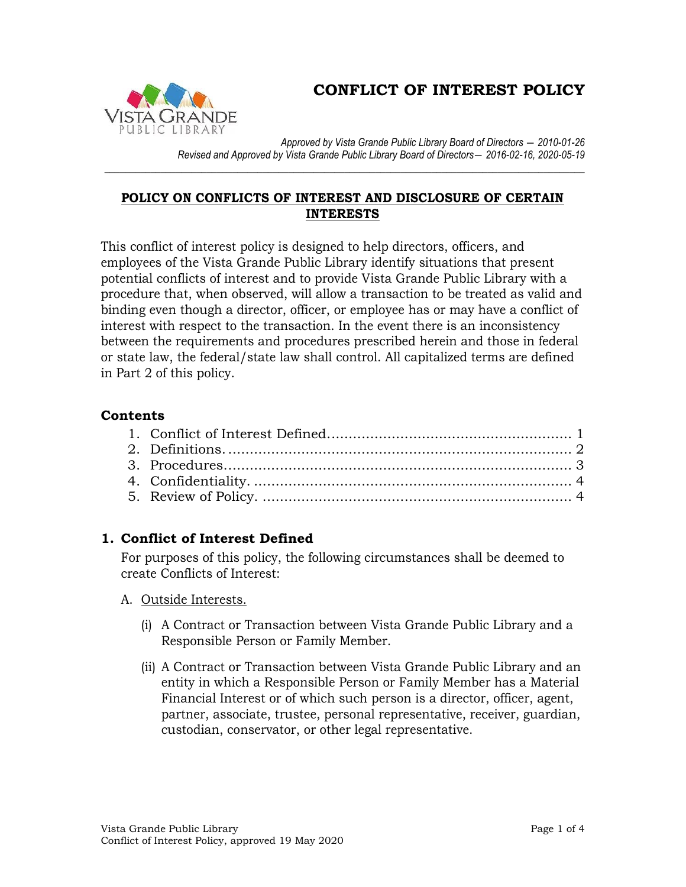**CONFLICT OF INTEREST POLICY**



*Approved by Vista Grande Public Library Board of Directors ― 2010-01-26 Revised and Approved by Vista Grande Public Library Board of Directors― 2016-02-16, 2020-05-19*

### **POLICY ON CONFLICTS OF INTEREST AND DISCLOSURE OF CERTAIN INTERESTS**

*\_\_\_\_\_\_\_\_\_\_\_\_\_\_\_\_\_\_\_\_\_\_\_\_\_\_\_\_\_\_\_\_\_\_\_\_\_\_\_\_\_\_\_\_\_\_\_\_\_\_\_\_\_\_\_\_\_\_\_\_\_\_\_\_\_\_\_\_\_\_\_\_\_\_\_\_\_\_\_\_\_\_\_\_\_\_\_\_\_\_\_\_\_\_*

This conflict of interest policy is designed to help directors, officers, and employees of the Vista Grande Public Library identify situations that present potential conflicts of interest and to provide Vista Grande Public Library with a procedure that, when observed, will allow a transaction to be treated as valid and binding even though a director, officer, or employee has or may have a conflict of interest with respect to the transaction. In the event there is an inconsistency between the requirements and procedures prescribed herein and those in federal or state law, the federal/state law shall control. All capitalized terms are defined in Part 2 of this policy.

#### **Contents**

### <span id="page-0-0"></span>**1. Conflict of Interest Defined**

For purposes of this policy, the following circumstances shall be deemed to create Conflicts of Interest:

- A. Outside Interests.
	- (i) A Contract or Transaction between Vista Grande Public Library and a Responsible Person or Family Member.
	- (ii) A Contract or Transaction between Vista Grande Public Library and an entity in which a Responsible Person or Family Member has a Material Financial Interest or of which such person is a director, officer, agent, partner, associate, trustee, personal representative, receiver, guardian, custodian, conservator, or other legal representative.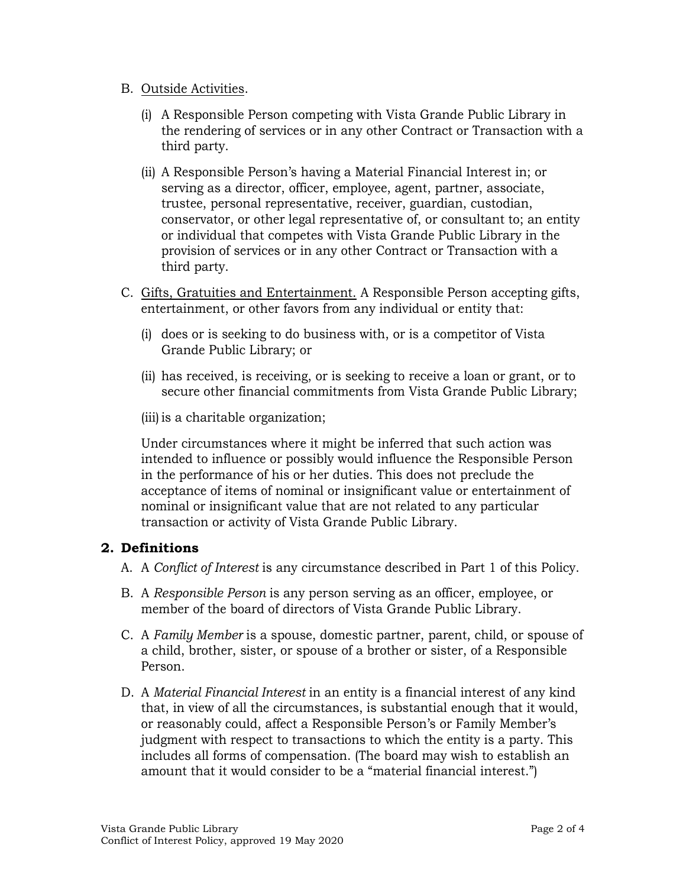- B. Outside Activities.
	- (i) A Responsible Person competing with Vista Grande Public Library in the rendering of services or in any other Contract or Transaction with a third party.
	- (ii) A Responsible Person's having a Material Financial Interest in; or serving as a director, officer, employee, agent, partner, associate, trustee, personal representative, receiver, guardian, custodian, conservator, or other legal representative of, or consultant to; an entity or individual that competes with Vista Grande Public Library in the provision of services or in any other Contract or Transaction with a third party.
- C. Gifts, Gratuities and Entertainment. A Responsible Person accepting gifts, entertainment, or other favors from any individual or entity that:
	- (i) does or is seeking to do business with, or is a competitor of Vista Grande Public Library; or
	- (ii) has received, is receiving, or is seeking to receive a loan or grant, or to secure other financial commitments from Vista Grande Public Library;
	- (iii) is a charitable organization;

Under circumstances where it might be inferred that such action was intended to influence or possibly would influence the Responsible Person in the performance of his or her duties. This does not preclude the acceptance of items of nominal or insignificant value or entertainment of nominal or insignificant value that are not related to any particular transaction or activity of Vista Grande Public Library.

### <span id="page-1-0"></span>**2. Definitions**

- A. A *Conflict of Interest* is any circumstance described in Part 1 of this Policy.
- B. A *Responsible Person* is any person serving as an officer, employee, or member of the board of directors of Vista Grande Public Library.
- C. A *Family Member* is a spouse, domestic partner, parent, child, or spouse of a child, brother, sister, or spouse of a brother or sister, of a Responsible Person.
- D. A *Material Financial Interest* in an entity is a financial interest of any kind that, in view of all the circumstances, is substantial enough that it would, or reasonably could, affect a Responsible Person's or Family Member's judgment with respect to transactions to which the entity is a party. This includes all forms of compensation. (The board may wish to establish an amount that it would consider to be a "material financial interest.")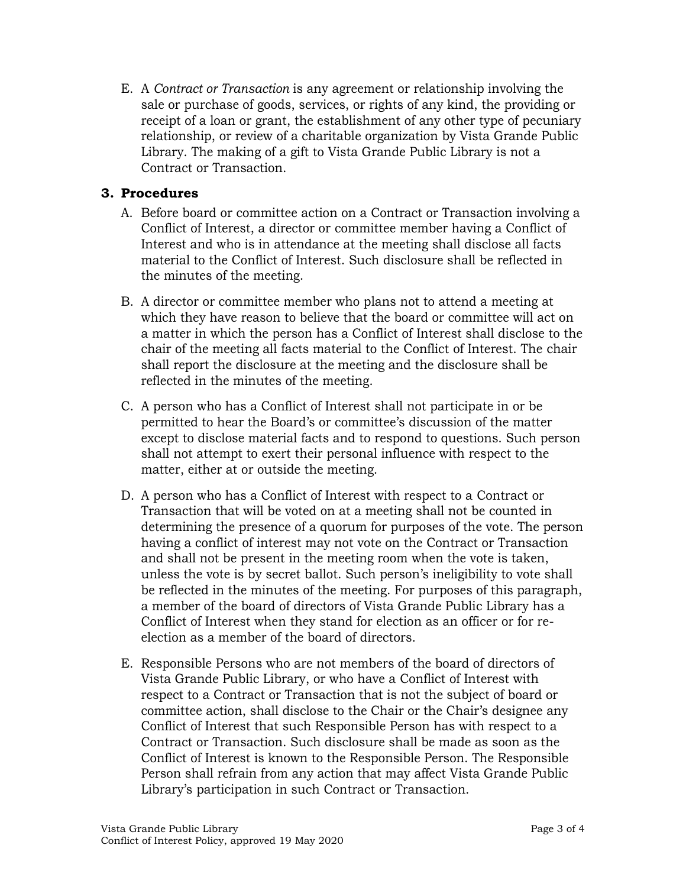E. A *Contract or Transaction* is any agreement or relationship involving the sale or purchase of goods, services, or rights of any kind, the providing or receipt of a loan or grant, the establishment of any other type of pecuniary relationship, or review of a charitable organization by Vista Grande Public Library. The making of a gift to Vista Grande Public Library is not a Contract or Transaction.

### <span id="page-2-0"></span>**3. Procedures**

- A. Before board or committee action on a Contract or Transaction involving a Conflict of Interest, a director or committee member having a Conflict of Interest and who is in attendance at the meeting shall disclose all facts material to the Conflict of Interest. Such disclosure shall be reflected in the minutes of the meeting.
- B. A director or committee member who plans not to attend a meeting at which they have reason to believe that the board or committee will act on a matter in which the person has a Conflict of Interest shall disclose to the chair of the meeting all facts material to the Conflict of Interest. The chair shall report the disclosure at the meeting and the disclosure shall be reflected in the minutes of the meeting.
- C. A person who has a Conflict of Interest shall not participate in or be permitted to hear the Board's or committee's discussion of the matter except to disclose material facts and to respond to questions. Such person shall not attempt to exert their personal influence with respect to the matter, either at or outside the meeting.
- D. A person who has a Conflict of Interest with respect to a Contract or Transaction that will be voted on at a meeting shall not be counted in determining the presence of a quorum for purposes of the vote. The person having a conflict of interest may not vote on the Contract or Transaction and shall not be present in the meeting room when the vote is taken, unless the vote is by secret ballot. Such person's ineligibility to vote shall be reflected in the minutes of the meeting. For purposes of this paragraph, a member of the board of directors of Vista Grande Public Library has a Conflict of Interest when they stand for election as an officer or for reelection as a member of the board of directors.
- E. Responsible Persons who are not members of the board of directors of Vista Grande Public Library, or who have a Conflict of Interest with respect to a Contract or Transaction that is not the subject of board or committee action, shall disclose to the Chair or the Chair's designee any Conflict of Interest that such Responsible Person has with respect to a Contract or Transaction. Such disclosure shall be made as soon as the Conflict of Interest is known to the Responsible Person. The Responsible Person shall refrain from any action that may affect Vista Grande Public Library's participation in such Contract or Transaction.